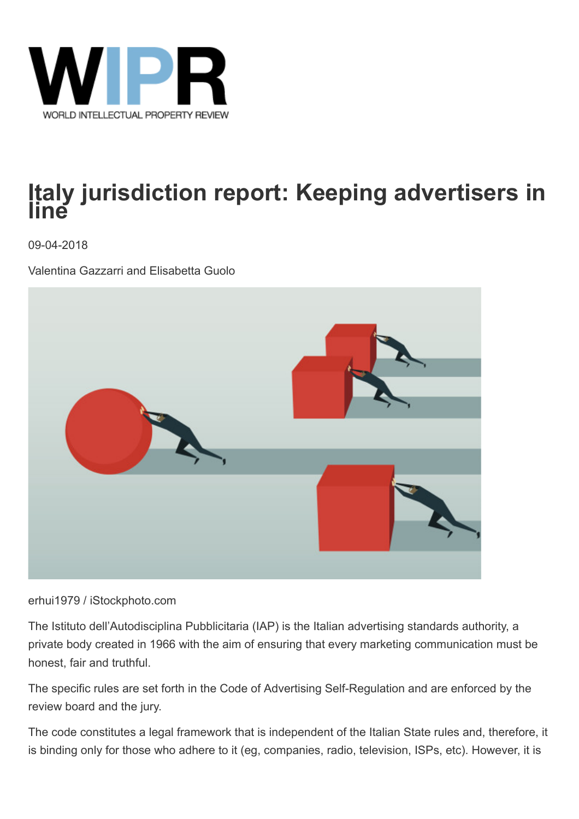

# **Italy jurisdiction report: Keeping advertisers in line**

09-04-2018

Valentina Gazzarri and Elisabetta Guolo



#### erhui1979 / iStockphoto.com

The Istituto dell'Autodisciplina Pubblicitaria (IAP) is the Italian advertising standards authority, a private body created in 1966 with the aim of ensuring that every marketing communication must be honest, fair and truthful.

The specific rules are set forth in the Code of Advertising Self-Regulation and are enforced by the review board and the jury.

The code constitutes a legal framework that is independent of the Italian State rules and, therefore, it is binding only for those who adhere to it (eg, companies, radio, television, ISPs, etc). However, it is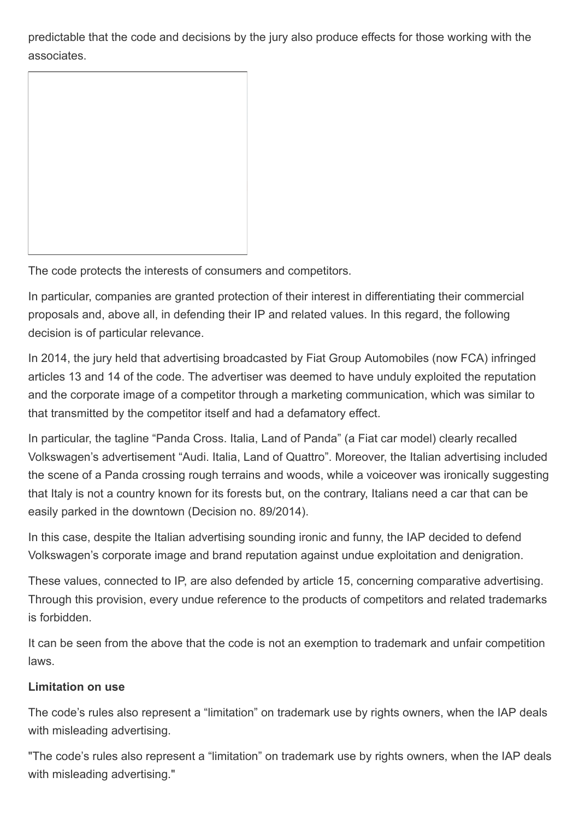predictable that the code and decisions by the jury also produce effects for those working with the associates.

The code protects the interests of consumers and competitors.

In particular, companies are granted protection of their interest in differentiating their commercial proposals and, above all, in defending their IP and related values. In this regard, the following decision is of particular relevance.

In 2014, the jury held that advertising broadcasted by Fiat Group Automobiles (now FCA) infringed articles 13 and 14 of the code. The advertiser was deemed to have unduly exploited the reputation and the corporate image of a competitor through a marketing communication, which was similar to that transmitted by the competitor itself and had a defamatory effect.

In particular, the tagline "Panda Cross. Italia, Land of Panda" (a Fiat car model) clearly recalled Volkswagen's advertisement "Audi. Italia, Land of Quattro". Moreover, the Italian advertising included the scene of a Panda crossing rough terrains and woods, while a voiceover was ironically suggesting that Italy is not a country known for its forests but, on the contrary, Italians need a car that can be easily parked in the downtown (Decision no. 89/2014).

In this case, despite the Italian advertising sounding ironic and funny, the IAP decided to defend Volkswagen's corporate image and brand reputation against undue exploitation and denigration.

These values, connected to IP, are also defended by article 15, concerning comparative advertising. Through this provision, every undue reference to the products of competitors and related trademarks is forbidden.

It can be seen from the above that the code is not an exemption to trademark and unfair competition laws.

#### **Limitation on use**

The code's rules also represent a "limitation" on trademark use by rights owners, when the IAP deals with misleading advertising.

"The code's rules also represent a "limitation" on trademark use by rights owners, when the IAP deals with misleading advertising."